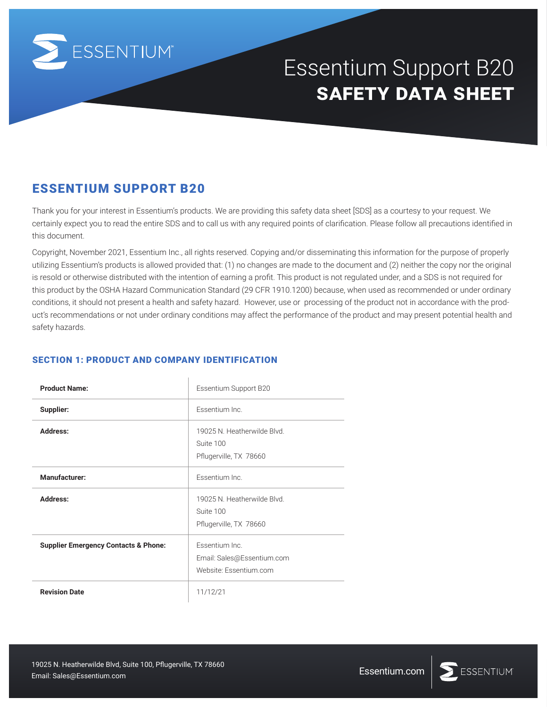

# Essentium Support B20 **safety data sheet**

Thank you for your interest in Essentium's products. We are providing this safety data sheet [SDS] as a courtesy to your request. We certainly expect you to read the entire SDS and to call us with any required points of clarification. Please follow all precautions identified in this document.

Copyright, November 2021, Essentium Inc., all rights reserved. Copying and/or disseminating this information for the purpose of properly utilizing Essentium's products is allowed provided that: (1) no changes are made to the document and (2) neither the copy nor the original is resold or otherwise distributed with the intention of earning a profit. This product is not regulated under, and a SDS is not required for this product by the OSHA Hazard Communication Standard (29 CFR 1910.1200) because, when used as recommended or under ordinary conditions, it should not present a health and safety hazard. However, use or processing of the product not in accordance with the product's recommendations or not under ordinary conditions may affect the performance of the product and may present potential health and safety hazards.

# SECTION 1: PRODUCT AND COMPANY IDENTIFICATION

| <b>ESSENTIUM SUPPORT B20</b>                                  |                                                                                                                                                                                                                                                                                                                                                                                                                                                                                                                                                                                                                                                                                                              |               |
|---------------------------------------------------------------|--------------------------------------------------------------------------------------------------------------------------------------------------------------------------------------------------------------------------------------------------------------------------------------------------------------------------------------------------------------------------------------------------------------------------------------------------------------------------------------------------------------------------------------------------------------------------------------------------------------------------------------------------------------------------------------------------------------|---------------|
| this document.                                                | Thank you for your interest in Essentium's products. We are providing this safety data sheet [SDS] as a courtesy t<br>certainly expect you to read the entire SDS and to call us with any required points of clarification. Please follow al                                                                                                                                                                                                                                                                                                                                                                                                                                                                 |               |
| safety hazards.                                               | Copyright, November 2021, Essentium Inc., all rights reserved. Copying and/or disseminating this information for<br>utilizing Essentium's products is allowed provided that: (1) no changes are made to the document and (2) neither<br>is resold or otherwise distributed with the intention of earning a profit. This product is not regulated under, and a<br>this product by the OSHA Hazard Communication Standard (29 CFR 1910.1200) because, when used as recomn<br>conditions, it should not present a health and safety hazard. However, use or processing of the product not in ad<br>uct's recommendations or not under ordinary conditions may affect the performance of the product and may pre |               |
| <b>SECTION 1: PRODUCT AND COMPANY IDENTIFICATION</b>          |                                                                                                                                                                                                                                                                                                                                                                                                                                                                                                                                                                                                                                                                                                              |               |
| <b>Product Name:</b>                                          | Essentium Support B20                                                                                                                                                                                                                                                                                                                                                                                                                                                                                                                                                                                                                                                                                        |               |
| Supplier:                                                     | Essentium Inc.                                                                                                                                                                                                                                                                                                                                                                                                                                                                                                                                                                                                                                                                                               |               |
| Address:                                                      | 19025 N. Heatherwilde Blvd.<br>Suite 100<br>Pflugerville, TX 78660                                                                                                                                                                                                                                                                                                                                                                                                                                                                                                                                                                                                                                           |               |
| <b>Manufacturer:</b>                                          | Essentium Inc.                                                                                                                                                                                                                                                                                                                                                                                                                                                                                                                                                                                                                                                                                               |               |
| <b>Address:</b>                                               | 19025 N. Heatherwilde Blvd.<br>Suite 100<br>Pflugerville, TX 78660                                                                                                                                                                                                                                                                                                                                                                                                                                                                                                                                                                                                                                           |               |
| <b>Supplier Emergency Contacts &amp; Phone:</b>               | Essentium Inc.<br>Email: Sales@Essentium.com<br>Website: Essentium.com                                                                                                                                                                                                                                                                                                                                                                                                                                                                                                                                                                                                                                       |               |
| <b>Revision Date</b>                                          | 11/12/21                                                                                                                                                                                                                                                                                                                                                                                                                                                                                                                                                                                                                                                                                                     |               |
|                                                               |                                                                                                                                                                                                                                                                                                                                                                                                                                                                                                                                                                                                                                                                                                              |               |
| 19025 N. Heatherwilde Blvd, Suite 100, Pflugerville, TX 78660 |                                                                                                                                                                                                                                                                                                                                                                                                                                                                                                                                                                                                                                                                                                              | Essentium.com |
| Email: Sales@Essentium.com                                    |                                                                                                                                                                                                                                                                                                                                                                                                                                                                                                                                                                                                                                                                                                              |               |

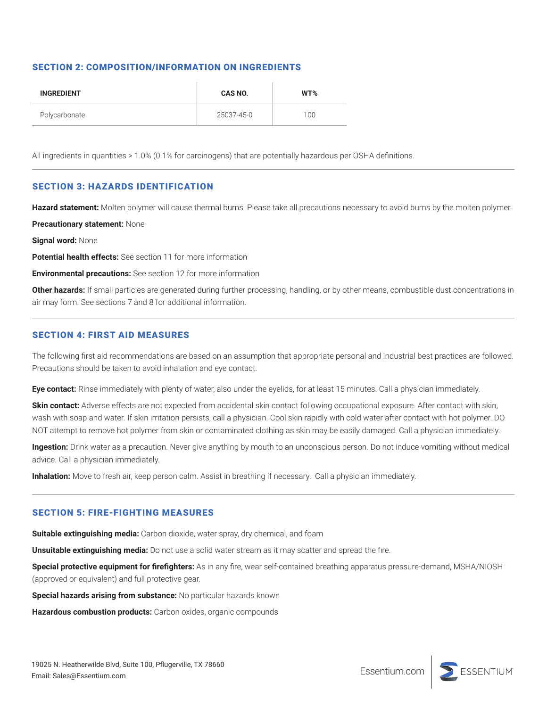# SECTION 2: COMPOSITION/INFORMATION ON INGREDIENTS

| <b>INGREDIENT</b> | <b>CAS NO.</b> | WT% |
|-------------------|----------------|-----|
| Polycarbonate     | 25037-45-0     | 100 |

All ingredients in quantities > 1.0% (0.1% for carcinogens) that are potentially hazardous per OSHA definitions.

## SECTION 3: HAZARDS IDENTIFICATION

**Hazard statement:** Molten polymer will cause thermal burns. Please take all precautions necessary to avoid burns by the molten polymer.

**Precautionary statement:** None

**Signal word:** None

**Potential health effects:** See section 11 for more information

**Environmental precautions:** See section 12 for more information

**Other hazards:** If small particles are generated during further processing, handling, or by other means, combustible dust concentrations in air may form. See sections 7 and 8 for additional information.

#### SECTION 4: FIRST AID MEASURES

The following first aid recommendations are based on an assumption that appropriate personal and industrial best practices are followed. Precautions should be taken to avoid inhalation and eye contact.

**Eye contact:** Rinse immediately with plenty of water, also under the eyelids, for at least 15 minutes. Call a physician immediately.

**Skin contact:** Adverse effects are not expected from accidental skin contact following occupational exposure. After contact with skin, wash with soap and water. If skin irritation persists, call a physician. Cool skin rapidly with cold water after contact with hot polymer. DO NOT attempt to remove hot polymer from skin or contaminated clothing as skin may be easily damaged. Call a physician immediately.

**Ingestion:** Drink water as a precaution. Never give anything by mouth to an unconscious person. Do not induce vomiting without medical advice. Call a physician immediately.

**Inhalation:** Move to fresh air, keep person calm. Assist in breathing if necessary. Call a physician immediately.

# SECTION 5: FIRE-FIGHTING MEASURES

**Suitable extinguishing media:** Carbon dioxide, water spray, dry chemical, and foam

**Unsuitable extinguishing media:** Do not use a solid water stream as it may scatter and spread the fire.

**Special protective equipment for firefighters:** As in any fire, wear self-contained breathing apparatus pressure-demand, MSHA/NIOSH (approved or equivalent) and full protective gear.

**Special hazards arising from substance:** No particular hazards known

**Hazardous combustion products:** Carbon oxides, organic compounds

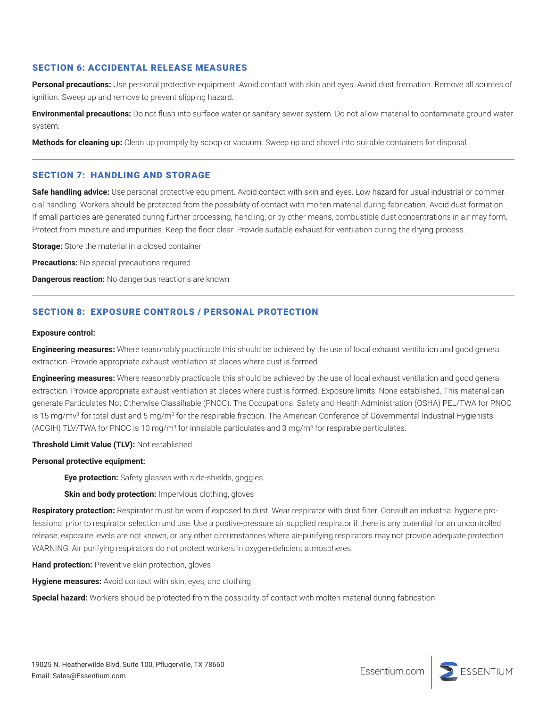# SECTION 6: ACCIDENTAL RELEASE MEASURES

**Personal precautions:** Use personal protective equipment. Avoid contact with skin and eyes. Avoid dust formation. Remove all sources of ignition. Sweep up and remove to prevent slipping hazard.

**Environmental precautions:** Do not flush into surface water or sanitary sewer system. Do not allow material to contaminate ground water system.

**Methods for cleaning up:** Clean up promptly by scoop or vacuum. Sweep up and shovel into suitable containers for disposal.

### SECTION 7: HANDLING AND STORAGE

**Safe handling advice:** Use personal protective equipment. Avoid contact with skin and eyes. Low hazard for usual industrial or commercial handling. Workers should be protected from the possibility of contact with molten material during fabrication. Avoid dust formation. If small particles are generated during further processing, handling, or by other means, combustible dust concentrations in air may form. Protect from moisture and impurities. Keep the floor clear. Provide suitable exhaust for ventilation during the drying process.

**Storage:** Store the material in a closed container

**Precautions:** No special precautions required

**Dangerous reaction:** No dangerous reactions are known

# SECTION 8: EXPOSURE CONTROLS / PERSONAL PROTECTION

#### **Exposure control:**

**Engineering measures:** Where reasonably practicable this should be achieved by the use of local exhaust ventilation and good general extraction. Provide appropriate exhaust ventilation at places where dust is formed.

**Engineering measures:** Where reasonably practicable this should be achieved by the use of local exhaust ventilation and good general extraction. Provide appropriate exhaust ventilation at places where dust is formed. Exposure limits: None established. This material can generate Particulates Not Otherwise Classifiable (PNOC). The Occupational Safety and Health Administration (OSHA) PEL/TWA for PNOC is 15 mg/mv3 for total dust and 5 mg/m3 for the respirable fraction. The American Conference of Governmental Industrial Hygienists (ACGIH) TLV/TWA for PNOC is 10 mg/m<sup>3</sup> for inhalable particulates and 3 mg/m<sup>3</sup> for respirable particulates.

#### **Threshold Limit Value (TLV):** Not established

#### **Personal protective equipment:**

**Eye protection:** Safety glasses with side-shields, goggles

**Skin and body protection:** Impervious clothing, gloves

Respiratory protection: Respirator must be worn if exposed to dust. Wear respirator with dust filter. Consult an industrial hygiene professional prior to respirator selection and use. Use a postive-pressure air supplied respirator if there is any potential for an uncontrolled release, exposure levels are not known, or any other circumstances where air-purifying respirators may not provide adequate protection. WARNING: Air purifying respirators do not protect workers in oxygen-deficient atmospheres.

**Hand protection:** Preventive skin protection, gloves

**Hygiene measures:** Avoid contact with skin, eyes, and clothing

**Special hazard:** Workers should be protected from the possibility of contact with molten material during fabrication

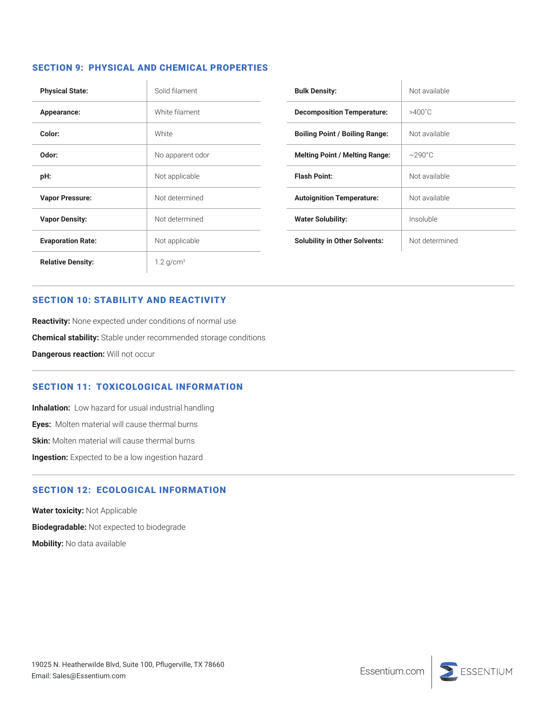# SECTION 9: PHYSICAL AND CHEMICAL PROPERTIES

| <b>Physical State:</b>   | Solid filament          |
|--------------------------|-------------------------|
| Appearance:              | White filament          |
| Color:                   | <b>White</b>            |
| Odor:                    | No apparent odor        |
| pH:                      | Not applicable          |
| <b>Vapor Pressure:</b>   | Not determined          |
| <b>Vapor Density:</b>    | Not determined          |
| <b>Evaporation Rate:</b> | Not applicable          |
| <b>Relative Density:</b> | $1.2$ g/cm <sup>3</sup> |

| <b>Bulk Density:</b>                  | Not available    |
|---------------------------------------|------------------|
| <b>Decomposition Temperature:</b>     | $>400^{\circ}$ C |
| <b>Boiling Point / Boiling Range:</b> | Not available    |
| <b>Melting Point / Melting Range:</b> | $\sim$ 290°C     |
| <b>Flash Point:</b>                   | Not available    |
| <b>Autoignition Temperature:</b>      | Not available    |
| <b>Water Solubility:</b>              | Insoluble        |
| <b>Solubility in Other Solvents:</b>  | Not determined   |

# SECTION 10: STABILITY AND REACTIVITY

**Reactivity:** None expected under conditions of normal use **Chemical stability:** Stable under recommended storage conditions **Dangerous reaction:** Will not occur

# SECTION 11: TOXICOLOGICAL INFORMATION

**Inhalation:** Low hazard for usual industrial handling **Eyes:** Molten material will cause thermal burns **Skin:** Molten material will cause thermal burns **Ingestion:** Expected to be a low ingestion hazard

# SECTION 12: ECOLOGICAL INFORMATION

**Water toxicity:** Not Applicable **Biodegradable:** Not expected to biodegrade **Mobility:** No data available